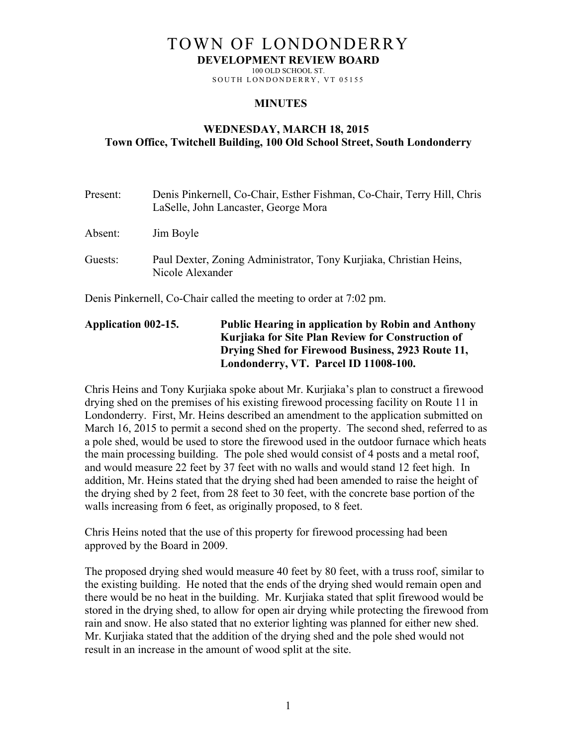## TOWN OF LONDONDERRY

**DEVELOPMENT REVIEW BOARD**

100 OLD SCHOOL ST. SOUTH LONDONDERRY, VT 05155

## **MINUTES**

## **WEDNESDAY, MARCH 18, 2015 Town Office, Twitchell Building, 100 Old School Street, South Londonderry**

| Present:                                                           | Denis Pinkernell, Co-Chair, Esther Fishman, Co-Chair, Terry Hill, Chris<br>LaSelle, John Lancaster, George Mora |
|--------------------------------------------------------------------|-----------------------------------------------------------------------------------------------------------------|
| Absent:                                                            | Jim Boyle                                                                                                       |
| Guests:                                                            | Paul Dexter, Zoning Administrator, Tony Kurjiaka, Christian Heins,<br>Nicole Alexander                          |
| Denis Pinkernell, Co-Chair called the meeting to order at 7:02 pm. |                                                                                                                 |

**Application 002-15. Public Hearing in application by Robin and Anthony Kurjiaka for Site Plan Review for Construction of Drying Shed for Firewood Business, 2923 Route 11, Londonderry, VT. Parcel ID 11008-100.**

Chris Heins and Tony Kurjiaka spoke about Mr. Kurjiaka's plan to construct a firewood drying shed on the premises of his existing firewood processing facility on Route 11 in Londonderry. First, Mr. Heins described an amendment to the application submitted on March 16, 2015 to permit a second shed on the property. The second shed, referred to as a pole shed, would be used to store the firewood used in the outdoor furnace which heats the main processing building. The pole shed would consist of 4 posts and a metal roof, and would measure 22 feet by 37 feet with no walls and would stand 12 feet high. In addition, Mr. Heins stated that the drying shed had been amended to raise the height of the drying shed by 2 feet, from 28 feet to 30 feet, with the concrete base portion of the walls increasing from 6 feet, as originally proposed, to 8 feet.

Chris Heins noted that the use of this property for firewood processing had been approved by the Board in 2009.

The proposed drying shed would measure 40 feet by 80 feet, with a truss roof, similar to the existing building. He noted that the ends of the drying shed would remain open and there would be no heat in the building. Mr. Kurjiaka stated that split firewood would be stored in the drying shed, to allow for open air drying while protecting the firewood from rain and snow. He also stated that no exterior lighting was planned for either new shed. Mr. Kurjiaka stated that the addition of the drying shed and the pole shed would not result in an increase in the amount of wood split at the site.